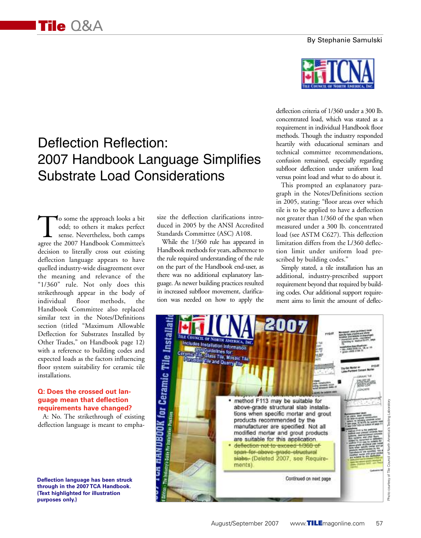#### By Stephanie Samulski

# Deflection Reflection: 2007 Handbook Language Simplifies Substrate Load Considerations

To some the approach looks a bit<br>odd; to others it makes perfect<br>sense. Nevertheless, both camps<br>agree the 2007 Handbook Committee's odd; to others it makes perfect sense. Nevertheless, both camps agree the 2007 Handbook Committee's decision to literally cross out existing deflection language appears to have quelled industry-wide disagreement over the meaning and relevance of the "1/360" rule. Not only does this strikethrough appear in the body of individual floor methods, the Handbook Committee also replaced similar text in the Notes/Definitions section (titled "Maximum Allowable Deflection for Substrates Installed by Other Trades," on Handbook page 12) with a reference to building codes and expected loads as the factors influencing floor system suitability for ceramic tile installations.

## **Q: Does the crossed out language mean that deflection requirements have changed?**

A: No. The strikethrough of existing deflection language is meant to empha-

**Deflection language has been struck through in the 2007 TCA Handbook. (Text highlighted for illustration** 

size the deflection clarifications introduced in 2005 by the ANSI Accredited Standards Committee (ASC) A108.

While the 1/360 rule has appeared in Handbook methods for years, adherence to the rule required understanding of the rule on the part of the Handbook end-user, as there was no additional explanatory language. As newer building practices resulted in increased subfloor movement, clarification was needed on how to apply the



deflection criteria of 1/360 under a 300 lb. concentrated load, which was stated as a requirement in individual Handbook floor methods. Though the industry responded heartily with educational seminars and technical committee recommendations, confusion remained, especially regarding subfloor deflection under uniform load versus point load and what to do about it.

This prompted an explanatory paragraph in the Notes/Definitions section in 2005, stating: "floor areas over which tile is to be applied to have a deflection not greater than 1/360 of the span when measured under a 300 lb. concentrated load (see ASTM C627). This deflection limitation differs from the L/360 deflection limit under uniform load prescribed by building codes."

Simply stated, a tile installation has an additional, industry-prescribed support requirement beyond that required by building codes. Our additional support requirement aims to limit the amount of deflec-